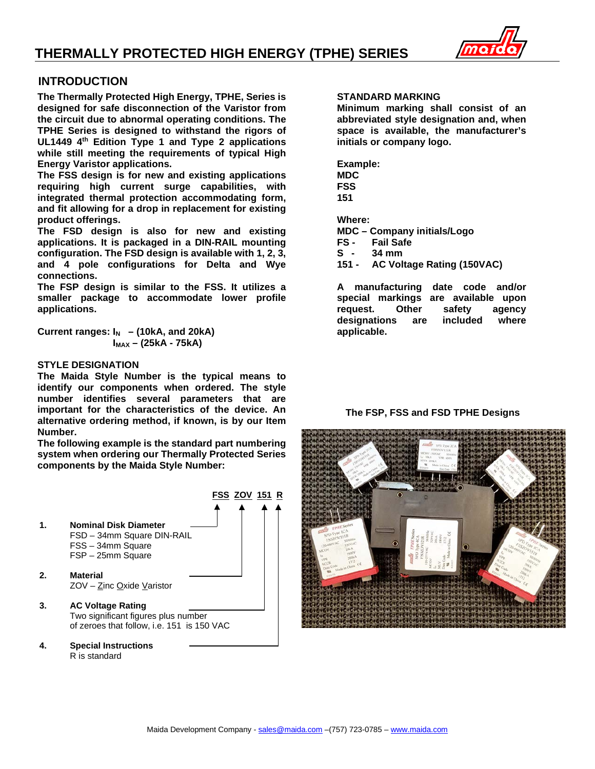### **THERMALLY PROTECTED HIGH ENERGY (TPHE) SERIES**



#### **INTRODUCTION**

**The Thermally Protected High Energy, TPHE, Series is designed for safe disconnection of the Varistor from the circuit due to abnormal operating conditions. The TPHE Series is designed to withstand the rigors of UL1449 4th Edition Type 1 and Type 2 applications while still meeting the requirements of typical High Energy Varistor applications.** 

**The FSS design is for new and existing applications requiring high current surge capabilities, with integrated thermal protection accommodating form, and fit allowing for a drop in replacement for existing product offerings.**

**The FSD design is also for new and existing applications. It is packaged in a DIN-RAIL mounting configuration. The FSD design is available with 1, 2, 3, and 4 pole configurations for Delta and Wye connections.**

**The FSP design is similar to the FSS. It utilizes a smaller package to accommodate lower profile applications.**

**Current ranges:**  $I_N$  – (10kA, and 20kA)  **IMAX – (25kA - 75kA)**

#### **STYLE DESIGNATION**

**The Maida Style Number is the typical means to identify our components when ordered. The style number identifies several parameters that are important for the characteristics of the device. An alternative ordering method, if known, is by our Item Number.**

**The following example is the standard part numbering system when ordering our Thermally Protected Series components by the Maida Style Number:**



**4. Special Instructions** R is standard

#### **STANDARD MARKING**

**Minimum marking shall consist of an abbreviated style designation and, when space is available, the manufacturer's initials or company logo.**

**Example: MDC FSS 151**

**Where:**

**MDC – Company initials/Logo**

**Fail Safe** 

**S - 34 mm**

**151 - AC Voltage Rating (150VAC)**

**A manufacturing date code and/or special markings are available upon request. Other safety agency designations are included where applicable.**

#### **The FSP, FSS and FSD TPHE Designs**

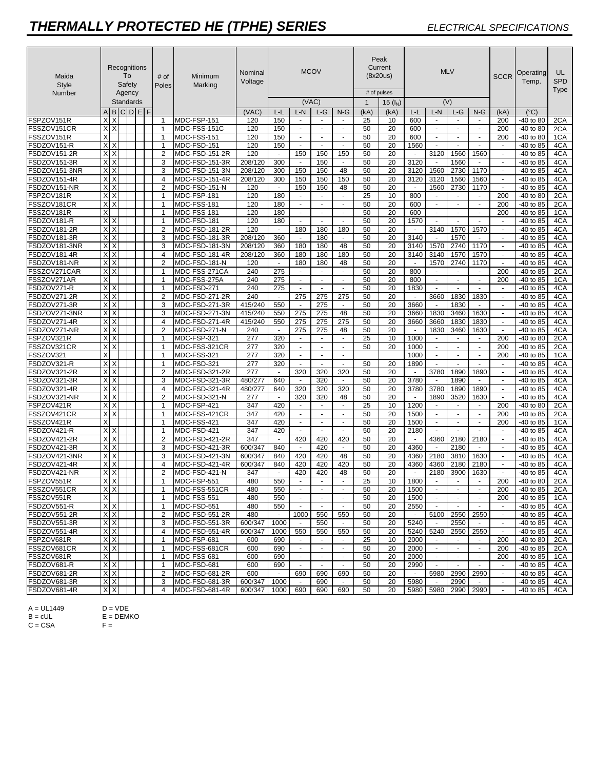### *THERMALLY PROTECTED HE (TPHE) SERIES ELECTRICAL SPECIFICATIONS*

| Maida<br><b>Style</b><br>Number | Recognitions<br>To<br>Safety<br>Agency<br>Standards |          |  | # of<br>Poles | Minimum<br>Marking               | Nominal<br>Voltage           |            | (VAC)          | <b>MCOV</b>        |                          | # of pulses<br>$\mathbf 1$ | Peak<br>Current<br>(8x20us)<br>15 $(l_N)$ | <b>MLV</b><br>(V) |                |                      |                      | <b>SCCR</b>                      | Operating<br>Temp. | UL<br><b>SPD</b><br>Type |            |
|---------------------------------|-----------------------------------------------------|----------|--|---------------|----------------------------------|------------------------------|------------|----------------|--------------------|--------------------------|----------------------------|-------------------------------------------|-------------------|----------------|----------------------|----------------------|----------------------------------|--------------------|--------------------------|------------|
|                                 |                                                     |          |  | ABCDEF        |                                  |                              | (VAC)      | L-L            | L-N                | L-G                      | $N-G$                      | (kA)                                      | (kA)              | L-L            | L-N                  | L-G                  | $N-G$                            | (kA)               | (°C)                     |            |
| FSPZOV151R                      | X                                                   | X        |  |               | $\mathbf{1}$                     | MDC-FSP-151                  | 120        | 150            | $\sim$             | $\sim$                   | $\mathbf{r}$               | 25                                        | 10                | 600            | $\sim$               |                      |                                  | 200                | -40 to 80                | 2CA        |
| FSSZOV151CR                     | $X$ $X$                                             |          |  |               | $\mathbf{1}$                     | MDC-FSS-151C                 | 120        | 150            | $\omega$           | $\omega$                 | $\omega$                   | 50                                        | 20                | 600            | $\omega$             | $\blacksquare$       | $\omega$                         | 200                | -40 to 80                | 2CA        |
| FSSZOV151R                      | X                                                   |          |  |               | 1                                | MDC-FSS-151                  | 120        | 150            | $\sim$             | $\sim$                   | $\sim$                     | 50                                        | 20                | 600            | $\omega$             | $\sim$               | $\mathbf{r}$                     | 200                | -40 to 80                | 1CA        |
| FSDZOV151-R                     | $X$ $X$                                             |          |  |               | $\mathbf{1}$                     | MDC-FSD-151                  | 120        | 150            | $\blacksquare$     | $\blacksquare$           | $\blacksquare$             | 50                                        | 20                | 1560           | $\blacksquare$       | $\blacksquare$       | $\blacksquare$                   | $\sim$             | -40 to 85                | 4CA        |
| FSDZOV151-2R                    | X                                                   | X        |  |               | $\overline{2}$                   | MDC-FSD-151-2R               | 120        | $\blacksquare$ | 150                | 150                      | 150                        | 50                                        | 20                | $\sim$         | 3120                 | 1560                 | 1560                             | $\sim$             | -40 to 85                | 4CA        |
| FSDZOV151-3R                    | $\times$                                            | $\times$ |  |               | 3                                | MDC-FSD-151-3R               | 208/120    | 300            | $\sim$             | 150                      | $\sim$                     | 50                                        | 20                | 3120           | $\blacksquare$       | 1560                 | $\sim$                           | $\omega$           | -40 to 85                | 4CA        |
| FSDZOV151-3NR                   | $X$ $\times$                                        |          |  |               | 3                                | MDC-FSD-151-3N               | 208/120    | 300            | 150                | 150                      | 48                         | 50                                        | 20                | 3120           | 1560                 | 2730                 | 1170                             | $\blacksquare$     | -40 to 85                | 4CA        |
| FSDZOV151-4R                    | $X$ $X$                                             |          |  |               | $\overline{4}$                   | MDC-FSD-151-4R               | 208/120    | 300            | 150                | 150                      | 150                        | 50                                        | 20                | 3120           | 3120                 | 1560                 | 1560                             | $\blacksquare$     | -40 to 85                | 4CA        |
| FSDZOV151-NR                    | XX                                                  |          |  |               | $\overline{2}$                   | MDC-FSD-151-N                | 120        | $\sim$         | 150                | 150                      | 48                         | 50                                        | 20                | $\mathbf{r}$   | 1560                 | 2730                 | 1170                             | $\mathbf{r}$       | -40 to 85                | 4CA        |
| FSPZOV181R                      | $X$ $X$                                             |          |  |               | $\overline{1}$                   | MDC-FSP-181                  | 120        | 180            | $\sim$             | $\sim$                   | $\omega$                   | 25                                        | 10                | 800            | $\sim$               | $\omega$             | $\omega$                         | 200                | -40 to 80                | 2CA        |
| FSSZOV181CR                     | $X$ $X$                                             |          |  |               | -1                               | MDC-FSS-181                  | 120        | 180            | $\omega$           | $\omega$                 | $\omega$                   | 50                                        | 20                | 600            | $\omega$             | $\blacksquare$       | $\blacksquare$                   | 200                | -40 to 85                | 2CA        |
| FSSZOV181R                      | X                                                   |          |  |               | $\overline{1}$                   | MDC-FSS-181                  | 120        | 180            | $\blacksquare$     | $\overline{\phantom{a}}$ | $\blacksquare$             | 50                                        | 20                | 600            | $\blacksquare$       | $\blacksquare$       | $\blacksquare$                   | 200                | -40 to 85                | 1CA        |
| FSDZOV181-R                     | $X$ $X$                                             |          |  |               | $\mathbf 1$                      | MDC-FSD-181                  | 120        | 180            | $\blacksquare$     | $\blacksquare$           | $\blacksquare$             | 50                                        | 20                | 1570           | $\blacksquare$       | $\blacksquare$       | $\blacksquare$                   | $\sim$             | -40 to 85                | 4CA        |
| FSDZOV181-2R                    | Х                                                   | X        |  |               | $\overline{2}$                   | MDC-FSD-181-2R               | 120        | $\blacksquare$ | 180                | 180                      | 180                        | 50                                        | 20                | $\blacksquare$ | 3140                 | 1570                 | 1570                             | $\sim$             | -40 to 85                | 4CA        |
| FSDZOV181-3R                    | XX                                                  |          |  |               | 3                                | MDC-FSD-181-3R               | 208/120    | 360            | $\blacksquare$     | 180                      | $\blacksquare$             | 50                                        | 20                | 3140           | $\blacksquare$       | 1570                 | $\blacksquare$                   | $\blacksquare$     | -40 to 85                | 4CA        |
| FSDZOV181-3NR                   | X <sub>X</sub>                                      |          |  |               | 3                                | MDC-FSD-181-3N               | 208/120    | 360            | 180                | 180                      | 48                         | 50                                        | 20                | 3140           | 1570                 | 2740                 | 1170                             | $\blacksquare$     | -40 to 85                | 4CA        |
| FSDZOV181-4R                    | $X$ $X$                                             |          |  |               | $\overline{4}$                   | MDC-FSD-181-4R               | 208/120    | 360            | 180                | 180                      | 180                        | 50                                        | 20                | 3140           | 3140                 | 1570                 | 1570                             | $\mathbf{r}$       | -40 to 85                | 4CA        |
| FSDZOV181-NR                    | $X$ $X$                                             |          |  |               | $\overline{2}$                   | MDC-FSD-181-N                | 120        | $\sim$         | 180                | 180                      | 48                         | 50                                        | 20                | $\sim$         | 1570                 | 2740                 | 1170                             | $\sim$             | -40 to 85                | 4CA        |
| FSSZOV271CAR                    | $X$ $X$                                             |          |  |               | -1                               | MDC-FSS-271CA                | 240        | 275            | $\sim$             | $\blacksquare$           | $\omega$                   | 50                                        | 20                | 800            | $\omega$             | $\omega$             | $\blacksquare$                   | 200                | -40 to 85                | 2CA        |
| FSSZOV271AR                     | X                                                   |          |  |               | $\overline{1}$                   | MDC-FSS-275A                 | 240        | 275            | $\blacksquare$     | $\blacksquare$           | $\blacksquare$             | 50                                        | 20                | 800            | $\omega$             | $\omega$             | $\blacksquare$                   | 200                | -40 to 85                | 1CA        |
| FSDZOV271-R                     | $X$ $X$                                             |          |  |               | $\mathbf 1$                      | MDC-FSD-271                  | 240        | 275            | $\blacksquare$     | $\blacksquare$           | $\blacksquare$             | 50                                        | 20                | 1830           | $\sim$               | $\blacksquare$       | $\sim$                           | $\sim$             | -40 to 85                | 4CA        |
| FSDZOV271-2R                    | XX                                                  |          |  |               | $\overline{2}$                   | MDC-FSD-271-2R               | 240        | $\blacksquare$ | 275                | 275                      | 275                        | 50                                        | 20                | $\blacksquare$ | 3660                 | 1830                 | 1830                             | $\blacksquare$     | -40 to 85                | 4CA        |
| FSDZOV271-3R                    | X                                                   |          |  |               | 3                                | MDC-FSD-271-3R               | 415/240    | 550            | $\sim$             | 275                      | $\omega$                   | 50                                        | 20                | 3660           | $\blacksquare$       | 1830                 | $\sim$                           | $\sim$             | -40 to 85                | 4CA        |
| FSDZOV271-3NR                   | $X$ $X$                                             |          |  |               | 3                                | MDC-FSD-271-3N               | 415/240    | 550            | 275                | 275                      | 48                         | 50                                        | 20                | 3660           | 1830                 | 3460                 | 1630                             | $\blacksquare$     | -40 to 85                | 4CA        |
| FSDZOV271-4R                    | $X$ $X$                                             |          |  |               | $\overline{4}$                   | MDC-FSD-271-4R               | 415/240    | 550            | 275                | 275                      | 275                        | 50                                        | 20                | 3660           | 3660                 | 1830                 | 1830                             | $\blacksquare$     | -40 to 85                | 4CA        |
| FSDZOV271-NR                    | XX                                                  |          |  |               | $\overline{2}$<br>$\overline{1}$ | MDC-FSD-271-N                | 240        | $\sim$         | 275                | 275                      | 48                         | 50                                        | 20                | $\mathbf{r}$   | 1830                 | 3460                 | 1630                             | $\mathbf{r}$       | -40 to 85                | 4CA        |
| FSPZOV321R<br>FSSZOV321CR       | $X$ $X$<br>$X$ $X$                                  |          |  |               | -1                               | MDC-FSP-321                  | 277<br>277 | 320            | $\sim$<br>$\omega$ | $\sim$<br>$\omega$       | $\omega$<br>$\omega$       | 25<br>50                                  | 10<br>20          | 1000<br>1000   | $\omega$<br>$\omega$ | $\omega$<br>$\omega$ | $\blacksquare$<br>$\blacksquare$ | 200<br>200         | -40 to 80                | 2CA        |
| FSSZOV321                       | X                                                   |          |  |               | $\overline{1}$                   | MDC-FSS-321CR<br>MDC-FSS-321 | 277        | 320<br>320     | $\blacksquare$     | $\blacksquare$           | $\blacksquare$             |                                           |                   | 1000           | $\omega$             | $\omega$             | $\blacksquare$                   | 200                | -40 to 85<br>-40 to 85   | 2CA<br>1CA |
| FSDZOV321-R                     | $X$ $X$                                             |          |  |               | $\mathbf 1$                      | MDC-FSD-321                  | 277        | 320            | $\sim$             | $\sim$                   | $\blacksquare$             | 50                                        | 20                | 1890           | $\sim$               | $\blacksquare$       | $\blacksquare$                   | $\sim$             | -40 to 85                | 4CA        |
| FSDZOV321-2R                    | XX                                                  |          |  |               | $\overline{2}$                   | MDC-FSD-321-2R               | 277        | $\sim$         | 320                | 320                      | 320                        | 50                                        | 20                | $\blacksquare$ | 3780                 | 1890                 | 1890                             | $\blacksquare$     | -40 to 85                | 4CA        |
| FSDZOV321-3R                    | X                                                   | $\times$ |  |               | 3                                | $\overline{MDC}$ -FSD-321-3R | 480/277    | 640            | $\blacksquare$     | 320                      | $\blacksquare$             | 50                                        | 20                | 3780           | $\blacksquare$       | 1890                 |                                  | $\sim$             | -40 to 85                | 4CA        |
| FSDZOV321-4R                    | <b>XX</b>                                           |          |  |               | $\overline{4}$                   | MDC-FSD-321-4R               | 480/277    | 640            | 320                | 320                      | 320                        | 50                                        | 20                | 3780           | 3780                 | 1890                 | 1890                             | $\blacksquare$     | -40 to 85                | 4CA        |
| FSDZOV321-NR                    | XX                                                  |          |  |               | $\overline{2}$                   | MDC-FSD-321-N                | 277        | $\sim$         | 320                | 320                      | 48                         | 50                                        | 20                | $\mathbf{r}$   | 1890                 | 3520                 | 1630                             | $\mathbf{r}$       | -40 to 85                | 4CA        |
| FSPZOV421R                      | $X$ $X$                                             |          |  |               | $\overline{1}$                   | MDC-FSP-421                  | 347        | 420            | $\sim$             | $\sim$                   | $\omega$                   | 25                                        | 10                | 1200           | $\sim$               | $\omega$             | $\omega$                         | 200                | -40 to 80                | 2CA        |
| FSSZOV421CR                     | $X$ $X$                                             |          |  |               | -1                               | MDC-FSS-421CR                | 347        | 420            | $\blacksquare$     | $\blacksquare$           | $\omega$                   | 50                                        | 20                | 1500           | $\omega$             | $\blacksquare$       | $\blacksquare$                   | 200                | -40 to 85                | 2CA        |
| FSSZOV421R                      | X                                                   |          |  |               | -1                               | MDC-FSS-421                  | 347        | 420            | $\blacksquare$     | $\overline{\phantom{a}}$ | $\blacksquare$             | 50                                        | 20                | 1500           | $\sim$               | $\blacksquare$       | $\blacksquare$                   | 200                | -40 to 85                | 1CA        |
| FSDZOV421-R                     | $X$ $X$                                             |          |  |               | $\mathbf 1$                      | MDC-FSD-421                  | 347        | 420            | $\blacksquare$     | $\blacksquare$           | $\blacksquare$             | 50                                        | 20                | 2180           | $\blacksquare$       | $\blacksquare$       | $\blacksquare$                   | $\sim$             | -40 to 85                | 4CA        |
| FSDZOV421-2R                    | Х                                                   | X        |  |               | $\overline{2}$                   | MDC-FSD-421-2R               | 347        | $\blacksquare$ | 420                | 420                      | 420                        | 50                                        | 20                | $\blacksquare$ | 4360                 | 2180                 | 2180                             | $\sim$             | -40 to 85                | 4CA        |
| FSDZOV421-3R                    | XX                                                  |          |  |               | 3                                | $\overline{MDC}$ -FSD-421-3R | 600/347    | 840            | $\blacksquare$     | 420                      | $\blacksquare$             | 50                                        | 20                | 4360           | $\blacksquare$       | 2180                 | $\blacksquare$                   | $\omega$           | -40 to 85                | 4CA        |
| FSDZOV421-3NR                   | $X$ $X$                                             |          |  |               | 3                                | MDC-FSD-421-3N               | 600/347    | 840            | 420                | 420                      | 48                         | 50                                        | 20                | 4360           | 2180                 | 3810                 | 1630                             | $\blacksquare$     | $-40$ to $85$            | 4CA        |
| FSDZOV421-4R                    | <b>XX</b>                                           |          |  |               | $\overline{4}$                   | MDC-FSD-421-4R               | 600/347    | 840            | 420                | 420                      | 420                        | 50                                        | 20                | 4360           | 4360                 | 2180                 | 2180                             | $\blacksquare$     | -40 to 85                | 4CA        |
| FSDZOV421-NR                    | <b>XX</b>                                           |          |  |               | $\overline{2}$                   | MDC-FSD-421-N                | 347        | $\sim$         | 420                | 420                      | 48                         | 50                                        | 20                | $\sim$         | 2180                 | 3900                 | 1630                             | $\sim$             | -40 to 85                | 4CA        |
| FSPZOV551R                      | XX                                                  |          |  |               | $\mathbf{1}$                     | MDC-FSP-551                  | 480        | 550            | $\sim$             | $\overline{a}$           |                            | 25                                        | 10                | 1800           |                      |                      | $\sim$                           | 200                | -40 to 80                | 2CA        |
| FSSZOV551CR                     | XX                                                  |          |  |               | 1                                | MDC-FSS-551CR                | 480        | 550            | $\blacksquare$     | $\sim$                   | $\overline{\phantom{a}}$   | 50                                        | 20                | 1500           | $\sim$               | $\sim$               | $\sim$                           | 200                | $-40$ to 85              | 2CA        |
| FSSZOV551R                      | X                                                   |          |  |               | $\mathbf{1}$                     | MDC-FSS-551                  | 480        | 550            | $\blacksquare$     | $\blacksquare$           | $\blacksquare$             | 50                                        | 20                | 1500           | $\sim$               | $\blacksquare$       | $\sim$                           | 200                | -40 to 85                | 1CA        |
| FSDZOV551-R                     |                                                     | XX       |  |               | $\mathbf{1}$                     | MDC-FSD-551                  | 480        | 550            | $\blacksquare$     | $\sim$                   | $\blacksquare$             | 50                                        | 20                | 2550           | $\blacksquare$       | $\sim$               | $\sim$                           | $\sim$             | -40 to 85                | 4CA        |
| FSDZOV551-2R                    | X X                                                 |          |  |               | 2                                | MDC-FSD-551-2R               | 480        | $\sim$         | 1000               | 550                      | 550                        | 50                                        | 20                | $\sim$         | 5100                 | 2550                 | 2550                             | $\sim$             | -40 to 85                | 4CA        |
| FSDZOV551-3R                    | $\overline{X}$                                      |          |  |               | 3                                | MDC-FSD-551-3R               | 600/347    | 1000           | $\sim$             | 550                      | $\blacksquare$             | 50                                        | 20                | 5240           | $\blacksquare$       | 2550                 | $\blacksquare$                   | $\sim$             | -40 to 85                | 4CA        |
| FSDZOV551-4R                    | XX                                                  |          |  |               | 4                                | MDC-FSD-551-4R               | 600/347    | 1000           | 550                | 550                      | 550                        | 50                                        | 20                | 5240           | 5240                 | 2550                 | 2550                             | $\blacksquare$     | -40 to 85                | 4CA        |
| FSPZOV681R                      |                                                     | XX       |  |               | $\overline{1}$                   | MDC-FSP-681                  | 600        | 690            | $\blacksquare$     | $\blacksquare$           | $\blacksquare$             | 25                                        | 10                | 2000           | $\blacksquare$       | $\blacksquare$       | $\blacksquare$                   | 200                | -40 to 80                | 2CA        |
| FSSZOV681CR                     | XX                                                  |          |  |               | $\mathbf 1$                      | MDC-FSS-681CR                | 600        | 690            | $\blacksquare$     | $\blacksquare$           | $\sim$                     | 50                                        | 20                | 2000           | $\mathcal{L}$        | $\sim$               | $\blacksquare$                   | 200                | $-40$ to 85              | 2CA        |
| FSSZOV681R                      | X                                                   |          |  |               | -1                               | MDC-FSS-681                  | 600        | 690            | $\blacksquare$     | $\blacksquare$           | $\blacksquare$             | 50                                        | 20                | 2000           | $\sim$               | $\sim$               | $\blacksquare$                   | 200                | $-40$ to $85$            | 1CA        |
| FSDZOV681-R                     | XX                                                  |          |  |               | $\mathbf 1$                      | MDC-FSD-681                  | 600        | 690            | $\sim$             | $\blacksquare$           | $\blacksquare$             | 50                                        | 20                | 2990           | $\mathbf{r}$         | $\blacksquare$       | $\blacksquare$                   | $\sim$             | -40 to 85                | 4CA        |
| FSDZOV681-2R                    | XX                                                  |          |  |               | 2                                | MDC-FSD-681-2R               | 600        | $\sim$         | 690                | 690                      | 690                        | 50                                        | 20                | $\sim$         | 5980                 | 2990                 | 2990                             | $\sim$             | -40 to 85                | 4CA        |
| FSDZOV681-3R                    | X X                                                 |          |  |               | 3                                | MDC-FSD-681-3R               | 600/347    | 1000           | $\sim$             | 690                      | $\sim$                     | 50                                        | 20                | 5980           | $\blacksquare$       | 2990                 | $\sim$                           | $\sim$             | -40 to 85                | 4CA        |
| FSDZOV681-4R                    | X X                                                 |          |  |               | 4                                | MDC-FSD-681-4R               | 600/347    | 1000           | 690                | 690                      | 690                        | 50                                        | 20                | 5980           | 5980                 | 2990                 | 2990                             |                    | -40 to 85                | 4CA        |

A = UL1449 D = VDE

 $B = cUL$   $E = DEMKO$ A = UL1449 D =<br>B = cUL E =<br>C = CSA F =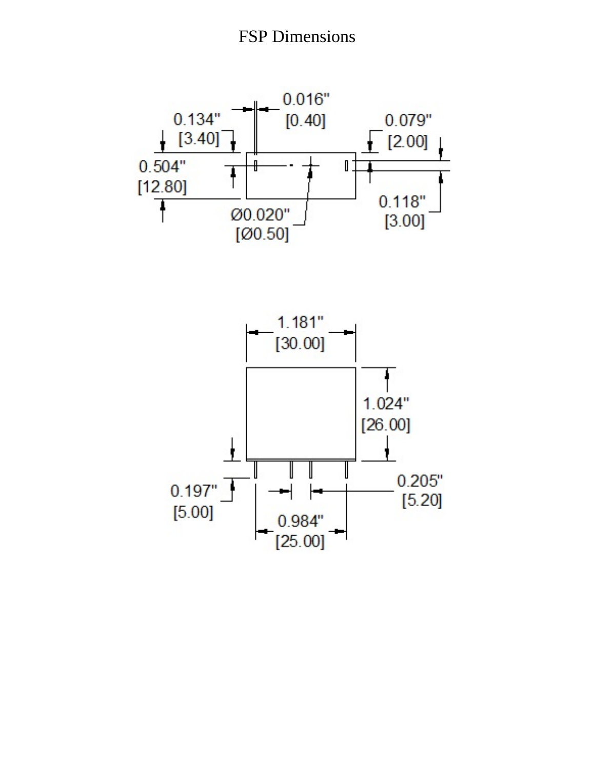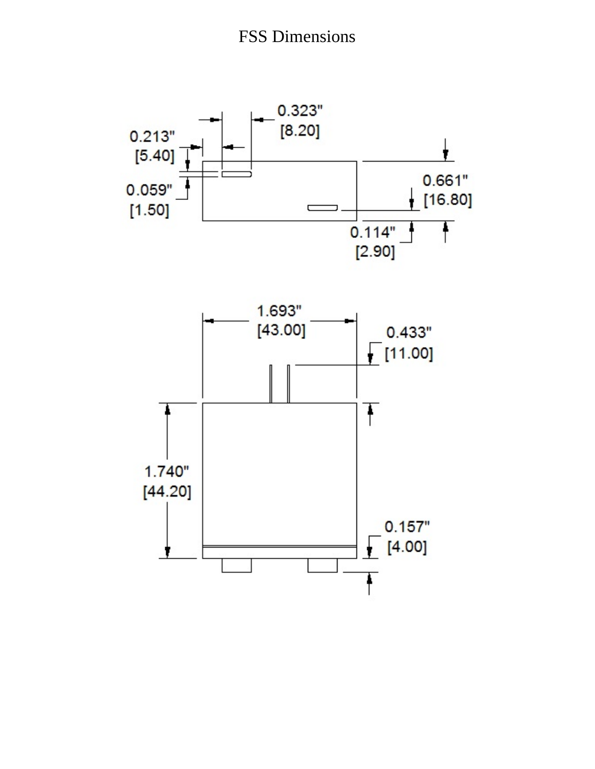

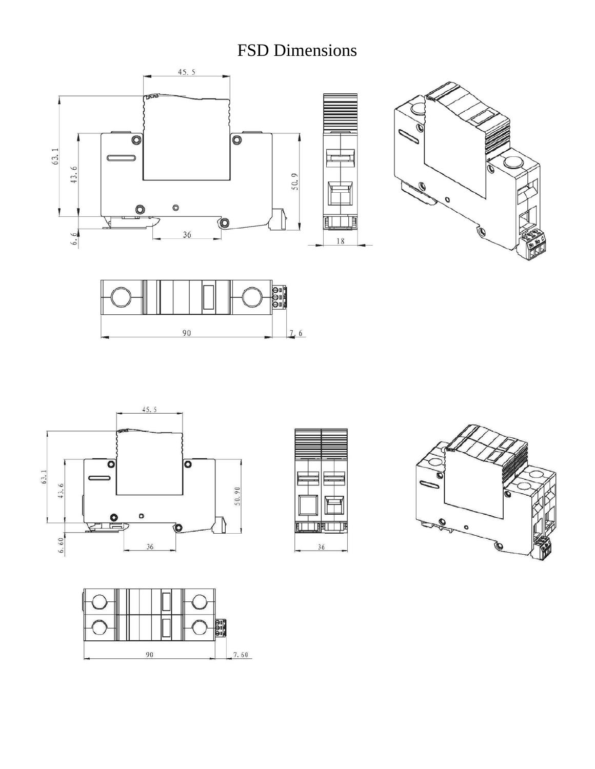## FSD Dimensions











目